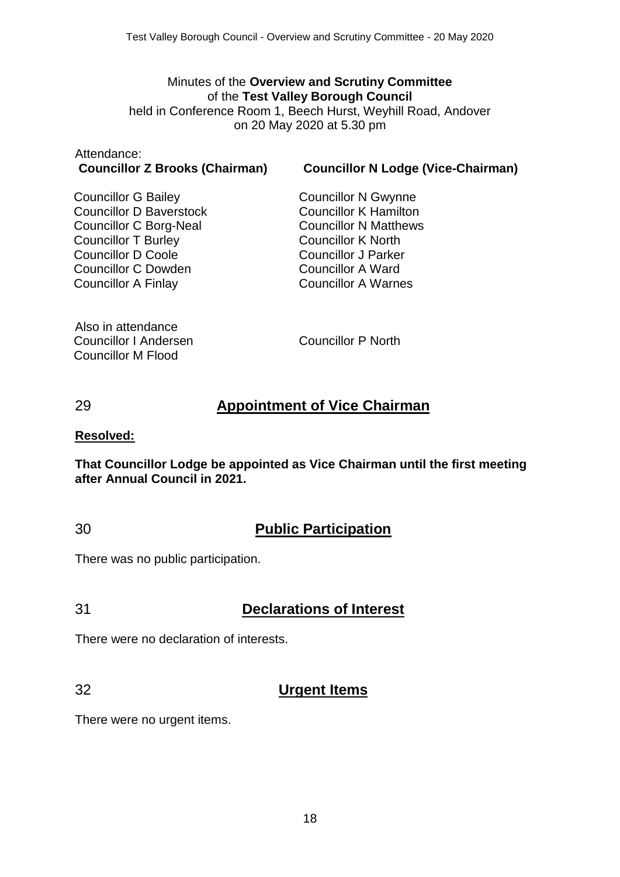#### Minutes of the **Overview and Scrutiny Committee** of the **Test Valley Borough Council** held in Conference Room 1, Beech Hurst, Weyhill Road, Andover on 20 May 2020 at 5.30 pm

# Attendance:

**Councillor Z Brooks (Chairman) Councillor N Lodge (Vice-Chairman)**

Councillor G Bailey Councillor D Baverstock Councillor C Borg-Neal Councillor T Burley Councillor D Coole Councillor C Dowden Councillor A Finlay

Councillor N Gwynne Councillor K Hamilton Councillor N Matthews Councillor K North Councillor J Parker Councillor A Ward Councillor A Warnes

Also in attendance Councillor I Andersen Councillor M Flood

Councillor P North

# 29 **Appointment of Vice Chairman**

#### **Resolved:**

**That Councillor Lodge be appointed as Vice Chairman until the first meeting after Annual Council in 2021.**

### 30 **Public Participation**

There was no public participation.

### 31 **Declarations of Interest**

There were no declaration of interests.

### 32 **Urgent Items**

There were no urgent items.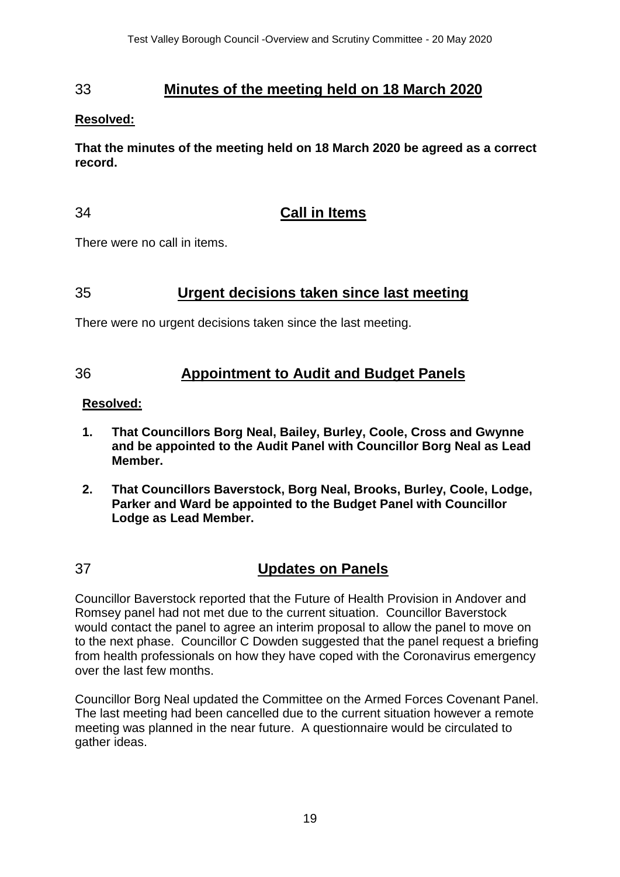# 33 **Minutes of the meeting held on 18 March 2020**

#### **Resolved:**

**That the minutes of the meeting held on 18 March 2020 be agreed as a correct record.**

## 34 **Call in Items**

There were no call in items.

# 35 **Urgent decisions taken since last meeting**

There were no urgent decisions taken since the last meeting.

# 36 **Appointment to Audit and Budget Panels**

#### **Resolved:**

- **1. That Councillors Borg Neal, Bailey, Burley, Coole, Cross and Gwynne and be appointed to the Audit Panel with Councillor Borg Neal as Lead Member.**
- **2. That Councillors Baverstock, Borg Neal, Brooks, Burley, Coole, Lodge, Parker and Ward be appointed to the Budget Panel with Councillor Lodge as Lead Member.**

# 37 **Updates on Panels**

Councillor Baverstock reported that the Future of Health Provision in Andover and Romsey panel had not met due to the current situation. Councillor Baverstock would contact the panel to agree an interim proposal to allow the panel to move on to the next phase. Councillor C Dowden suggested that the panel request a briefing from health professionals on how they have coped with the Coronavirus emergency over the last few months.

Councillor Borg Neal updated the Committee on the Armed Forces Covenant Panel. The last meeting had been cancelled due to the current situation however a remote meeting was planned in the near future. A questionnaire would be circulated to gather ideas.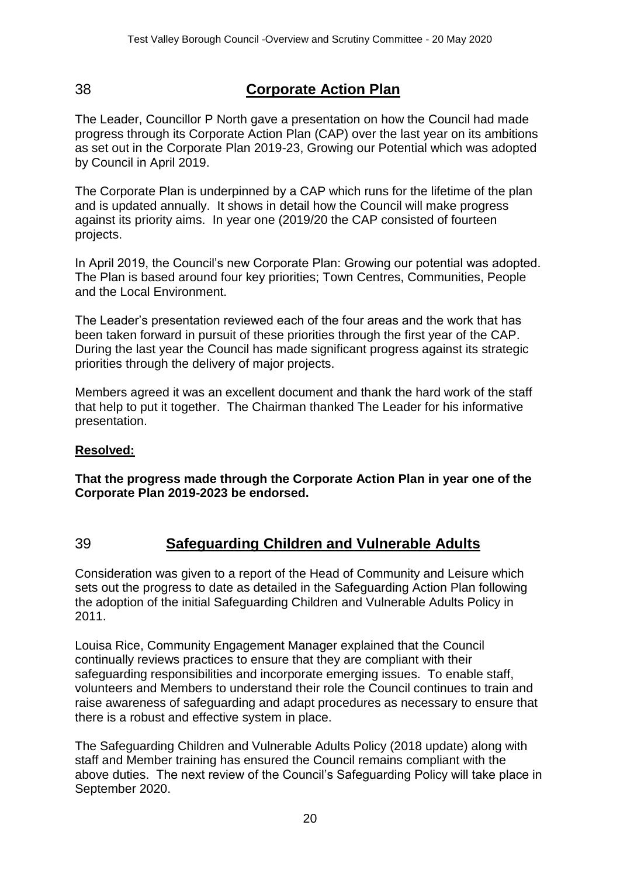# 38 **Corporate Action Plan**

The Leader, Councillor P North gave a presentation on how the Council had made progress through its Corporate Action Plan (CAP) over the last year on its ambitions as set out in the Corporate Plan 2019-23, Growing our Potential which was adopted by Council in April 2019.

The Corporate Plan is underpinned by a CAP which runs for the lifetime of the plan and is updated annually. It shows in detail how the Council will make progress against its priority aims. In year one (2019/20 the CAP consisted of fourteen projects.

In April 2019, the Council's new Corporate Plan: Growing our potential was adopted. The Plan is based around four key priorities; Town Centres, Communities, People and the Local Environment.

The Leader's presentation reviewed each of the four areas and the work that has been taken forward in pursuit of these priorities through the first year of the CAP. During the last year the Council has made significant progress against its strategic priorities through the delivery of major projects.

Members agreed it was an excellent document and thank the hard work of the staff that help to put it together. The Chairman thanked The Leader for his informative presentation.

#### **Resolved:**

**That the progress made through the Corporate Action Plan in year one of the Corporate Plan 2019-2023 be endorsed.**

# 39 **Safeguarding Children and Vulnerable Adults**

Consideration was given to a report of the Head of Community and Leisure which sets out the progress to date as detailed in the Safeguarding Action Plan following the adoption of the initial Safeguarding Children and Vulnerable Adults Policy in 2011.

Louisa Rice, Community Engagement Manager explained that the Council continually reviews practices to ensure that they are compliant with their safeguarding responsibilities and incorporate emerging issues. To enable staff, volunteers and Members to understand their role the Council continues to train and raise awareness of safeguarding and adapt procedures as necessary to ensure that there is a robust and effective system in place.

The Safeguarding Children and Vulnerable Adults Policy (2018 update) along with staff and Member training has ensured the Council remains compliant with the above duties. The next review of the Council's Safeguarding Policy will take place in September 2020.